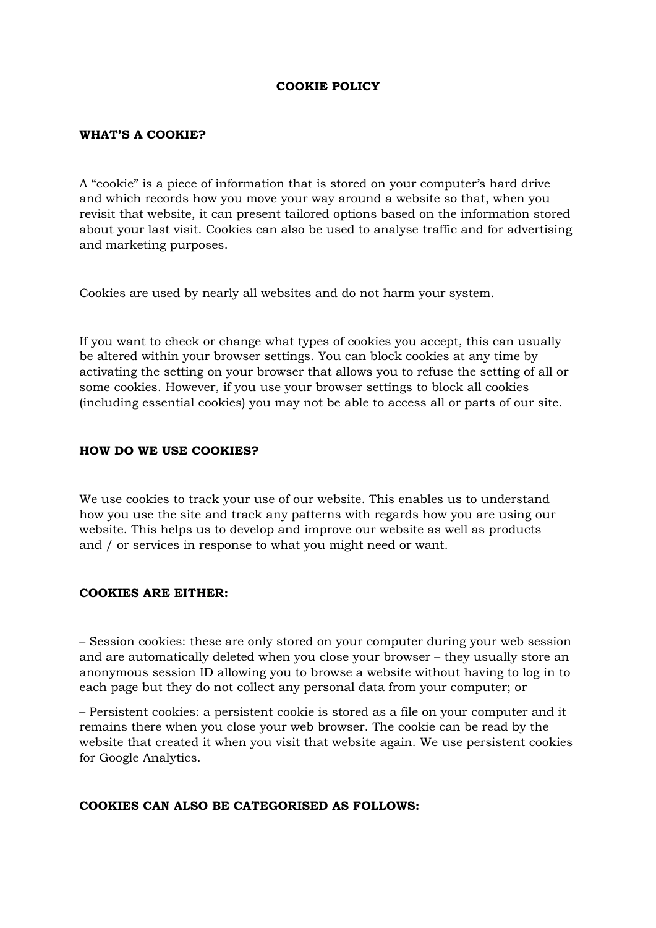## **COOKIE POLICY**

#### **WHAT'S A COOKIE?**

A "cookie" is a piece of information that is stored on your computer's hard drive and which records how you move your way around a website so that, when you revisit that website, it can present tailored options based on the information stored about your last visit. Cookies can also be used to analyse traffic and for advertising and marketing purposes.

Cookies are used by nearly all websites and do not harm your system.

If you want to check or change what types of cookies you accept, this can usually be altered within your browser settings. You can block cookies at any time by activating the setting on your browser that allows you to refuse the setting of all or some cookies. However, if you use your browser settings to block all cookies (including essential cookies) you may not be able to access all or parts of our site.

## **HOW DO WE USE COOKIES?**

We use cookies to track your use of our website. This enables us to understand how you use the site and track any patterns with regards how you are using our website. This helps us to develop and improve our website as well as products and / or services in response to what you might need or want.

#### **COOKIES ARE EITHER:**

– Session cookies: these are only stored on your computer during your web session and are automatically deleted when you close your browser – they usually store an anonymous session ID allowing you to browse a website without having to log in to each page but they do not collect any personal data from your computer; or

– Persistent cookies: a persistent cookie is stored as a file on your computer and it remains there when you close your web browser. The cookie can be read by the website that created it when you visit that website again. We use persistent cookies for Google Analytics.

# **COOKIES CAN ALSO BE CATEGORISED AS FOLLOWS:**